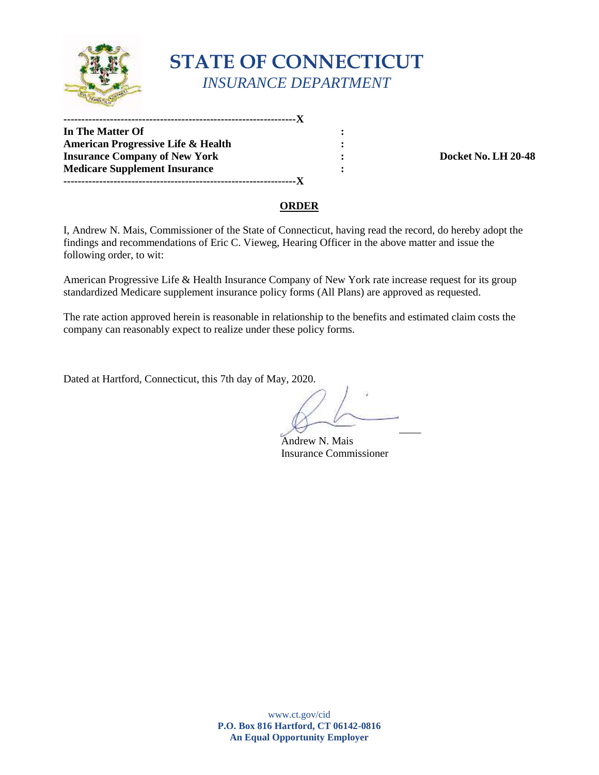

# **STATE OF CONNECTICUT**  *INSURANCE DEPARTMENT*

**In The Matter Of :**   $\cdot$  :  **American Progressive Life & Health : 111 Insurance Company of New York 120-48 120-48 120-48 Medicare Supplement Insurance :**  $\qquad \qquad$  **: -----------------------------------------------------------------X -----------------------------------------------------------------X** 

#### **ORDER**

 I, Andrew N. Mais, Commissioner of the State of Connecticut, having read the record, do hereby adopt the findings and recommendations of Eric C. Vieweg, Hearing Officer in the above matter and issue the following order, to wit:

 American Progressive Life & Health Insurance Company of New York rate increase request for its group standardized Medicare supplement insurance policy forms (All Plans) are approved as requested.

 company can reasonably expect to realize under these policy forms. The rate action approved herein is reasonable in relationship to the benefits and estimated claim costs the

Dated at Hartford, Connecticut, this 7th day of May, 2020.

 $\mathcal{A}$ 

Andrew N. Mais Insurance Commissioner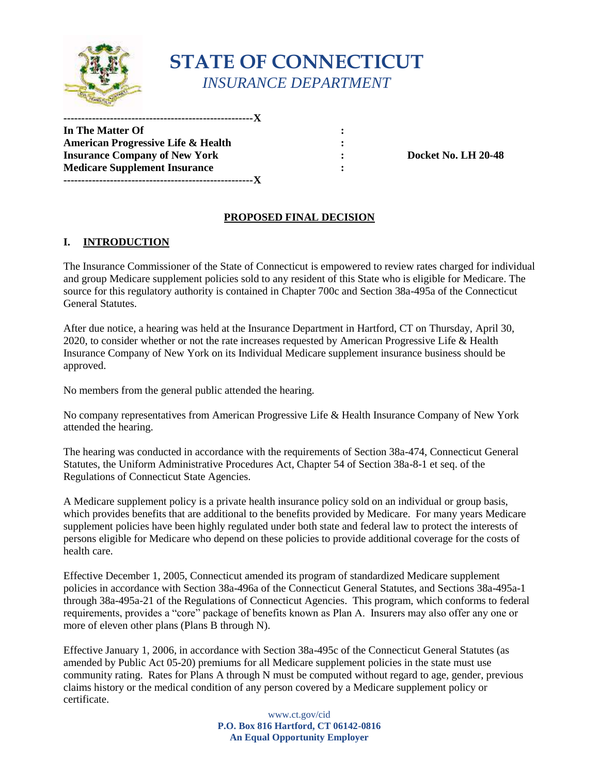

# **STATE OF CONNECTICUT**  *INSURANCE DEPARTMENT*

**In The Matter Of :**   $\cdot$  :  **American Progressive Life & Health : 111 Insurance Company of New York 120-48 120-48 120-48 Medicare Supplement Insurance :**  $\qquad \qquad$  **: -----------------------------------------------------X -----------------------------------------------------X** 

## **PROPOSED FINAL DECISION**

### **I. INTRODUCTION**

 The Insurance Commissioner of the State of Connecticut is empowered to review rates charged for individual and group Medicare supplement policies sold to any resident of this State who is eligible for Medicare. The source for this regulatory authority is contained in Chapter 700c and Section 38a-495a of the Connecticut General Statutes.

After due notice, a hearing was held at the Insurance Department in Hartford, CT on Thursday, April 30, 2020, to consider whether or not the rate increases requested by American Progressive Life & Health Insurance Company of New York on its Individual Medicare supplement insurance business should be approved.

No members from the general public attended the hearing.

No company representatives from American Progressive Life & Health Insurance Company of New York attended the hearing.

 Statutes, the Uniform Administrative Procedures Act, Chapter 54 of Section 38a-8-1 et seq. of the The hearing was conducted in accordance with the requirements of Section 38a-474, Connecticut General Regulations of Connecticut State Agencies.

 persons eligible for Medicare who depend on these policies to provide additional coverage for the costs of A Medicare supplement policy is a private health insurance policy sold on an individual or group basis, which provides benefits that are additional to the benefits provided by Medicare. For many years Medicare supplement policies have been highly regulated under both state and federal law to protect the interests of health care.

Effective December 1, 2005, Connecticut amended its program of standardized Medicare supplement policies in accordance with Section 38a-496a of the Connecticut General Statutes, and Sections 38a-495a-1 through 38a-495a-21 of the Regulations of Connecticut Agencies. This program, which conforms to federal requirements, provides a "core" package of benefits known as Plan A. Insurers may also offer any one or more of eleven other plans (Plans B through N).

 Effective January 1, 2006, in accordance with Section 38a-495c of the Connecticut General Statutes (as community rating. Rates for Plans A through N must be computed without regard to age, gender, previous amended by Public Act 05-20) premiums for all Medicare supplement policies in the state must use claims history or the medical condition of any person covered by a Medicare supplement policy or certificate.

> **P.O. Box 816 Hartford, CT 06142-0816**  www.ct.gov/cid **An Equal Opportunity Employer**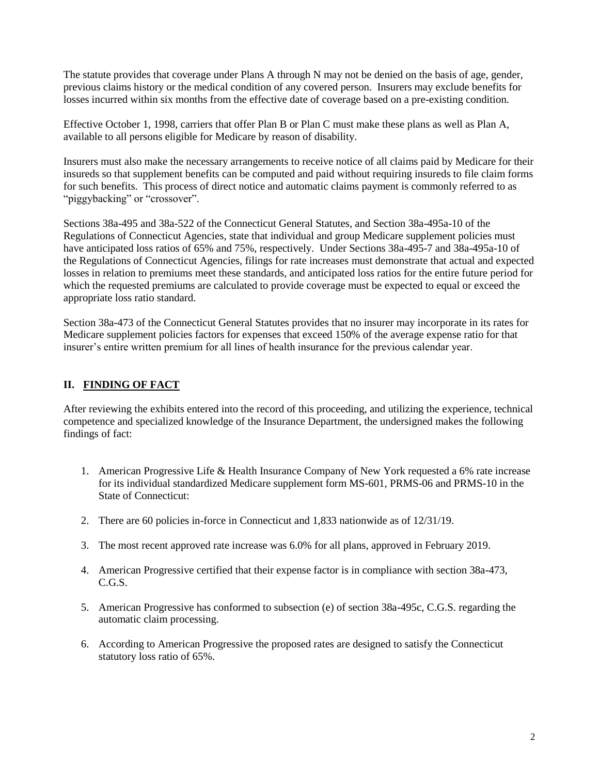previous claims history or the medical condition of any covered person. Insurers may exclude benefits for The statute provides that coverage under Plans A through N may not be denied on the basis of age, gender, losses incurred within six months from the effective date of coverage based on a pre-existing condition.

 available to all persons eligible for Medicare by reason of disability. Effective October 1, 1998, carriers that offer Plan B or Plan C must make these plans as well as Plan A,

 for such benefits. This process of direct notice and automatic claims payment is commonly referred to as Insurers must also make the necessary arrangements to receive notice of all claims paid by Medicare for their insureds so that supplement benefits can be computed and paid without requiring insureds to file claim forms "piggybacking" or "crossover".

Sections 38a-495 and 38a-522 of the Connecticut General Statutes, and Section 38a-495a-10 of the Regulations of Connecticut Agencies, state that individual and group Medicare supplement policies must have anticipated loss ratios of 65% and 75%, respectively. Under Sections 38a-495-7 and 38a-495a-10 of the Regulations of Connecticut Agencies, filings for rate increases must demonstrate that actual and expected losses in relation to premiums meet these standards, and anticipated loss ratios for the entire future period for which the requested premiums are calculated to provide coverage must be expected to equal or exceed the appropriate loss ratio standard.

 Section 38a-473 of the Connecticut General Statutes provides that no insurer may incorporate in its rates for Medicare supplement policies factors for expenses that exceed 150% of the average expense ratio for that insurer's entire written premium for all lines of health insurance for the previous calendar year.

#### **II. FINDING OF FACT**

 findings of fact: After reviewing the exhibits entered into the record of this proceeding, and utilizing the experience, technical competence and specialized knowledge of the Insurance Department, the undersigned makes the following

- 1. American Progressive Life & Health Insurance Company of New York requested a 6% rate increase for its individual standardized Medicare supplement form MS-601, PRMS-06 and PRMS-10 in the State of Connecticut:
- 2. There are 60 policies in-force in Connecticut and 1,833 nationwide as of 12/31/19.
- 3. The most recent approved rate increase was 6.0% for all plans, approved in February 2019.
- 4. American Progressive certified that their expense factor is in compliance with section 38a-473, C.G.S.
- 5. American Progressive has conformed to subsection (e) of section 38a-495c, C.G.S. regarding the automatic claim processing.
- statutory loss ratio of 65%. 6. According to American Progressive the proposed rates are designed to satisfy the Connecticut